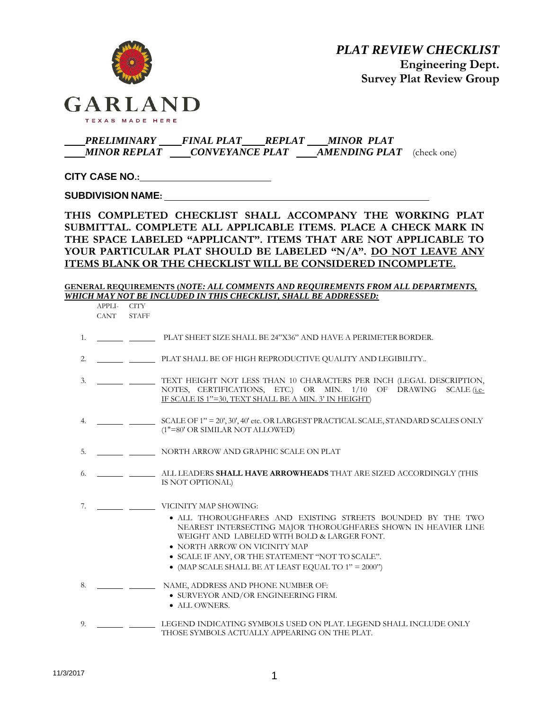

# *PRELIMINARY FINAL PLAT REPLAT MINOR PLAT MINOR REPLAT CONVEYANCE PLAT AMENDING PLAT* (check one)

**CITY CASE NO.:**

**SUBDIVISION NAME:**

**THIS COMPLETED CHECKLIST SHALL ACCOMPANY THE WORKING PLAT SUBMITTAL. COMPLETE ALL APPLICABLE ITEMS. PLACE A CHECK MARK IN THE SPACE LABELED "APPLICANT". ITEMS THAT ARE NOT APPLICABLE TO YOUR PARTICULAR PLAT SHOULD BE LABELED "N/A". DO NOT LEAVE ANY ITEMS BLANK OR THE CHECKLIST WILL BE CONSIDERED INCOMPLETE.**

**GENERAL REQUIREMENTS (***NOTE: ALL COMMENTS AND REQUIREMENTS FROM ALL DEPARTMENTS, WHICH MAY NOT BE INCLUDED IN THIS CHECKLIST, SHALL BE ADDRESSED:*

APPLI- CITY CANT STAFF

- 1. **PLAT SHEET SIZE SHALL BE 24"X36" AND HAVE A PERIMETER BORDER.**
- 2. PLAT SHALL BE OF HIGH REPRODUCTIVE QUALITY AND LEGIBILITY..
- 3. TEXT HEIGHT NOT LESS THAN 10 CHARACTERS PER INCH (LEGAL DESCRIPTION, NOTES, CERTIFICATIONS, ETC.) OR MIN. 1/10 OF DRAWING SCALE (i.e. IF SCALE IS 1"=30, TEXT SHALL BE A MIN. 3' IN HEIGHT)
- 4. SCALE OF 1" = 20', 30', 40' etc. OR LARGEST PRACTICAL SCALE, STANDARD SCALES ONLY (1"=80' OR SIMILAR NOT ALLOWED)
- 5. NORTH ARROW AND GRAPHIC SCALE ON PLAT
- 6. ALL LEADERS **SHALL HAVE ARROWHEADS** THAT ARE SIZED ACCORDINGLY (THIS IS NOT OPTIONAL)
- 7. VICINITY MAP SHOWING:
	- ALL THOROUGHFARES AND EXISTING STREETS BOUNDED BY THE TWO NEAREST INTERSECTING MAJOR THOROUGHFARES SHOWN IN HEAVIER LINE WEIGHT AND LABELED WITH BOLD & LARGER FONT.
	- NORTH ARROW ON VICINITY MAP
	- SCALE IF ANY, OR THE STATEMENT "NOT TO SCALE".
	- (MAP SCALE SHALL BE AT LEAST EQUAL TO 1" = 2000")
- 8. NAME, ADDRESS AND PHONE NUMBER OF:
	- SURVEYOR AND/OR ENGINEERING FIRM.
	- $\bullet$  ALL OWNERS.
- 9. LEGEND INDICATING SYMBOLS USED ON PLAT. LEGEND SHALL INCLUDE ONLY THOSE SYMBOLS ACTUALLY APPEARING ON THE PLAT.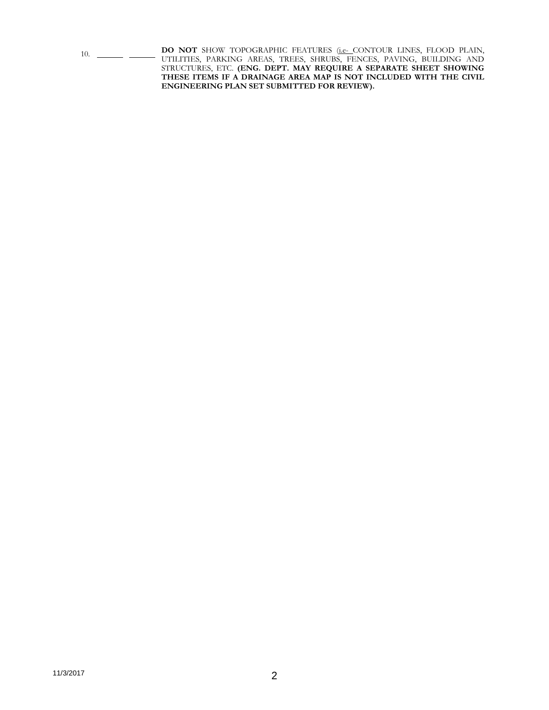10. **DO NOT** SHOW TOPOGRAPHIC FEATURES (i.e. CONTOUR LINES, FLOOD PLAIN, UTILITIES, PARKING AREAS, TREES, SHRUBS, FENCES, PAVING, BUILDING AND STRUCTURES, ETC. **(ENG. DEPT. MAY REQUIRE A SEPARATE SHEET SHOWING THESE ITEMS IF A DRAINAGE AREA MAP IS NOT INCLUDED WITH THE CIVIL ENGINEERING PLAN SET SUBMITTED FOR REVIEW).**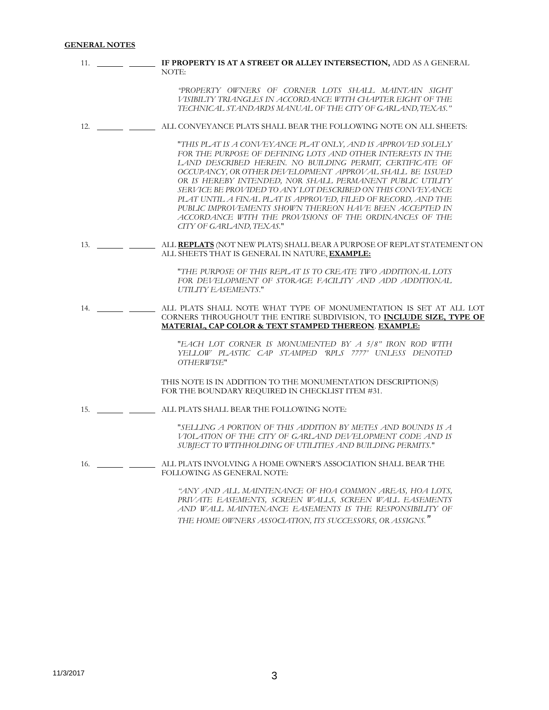# **GENERAL NOTES**

| 11. | IF PROPERTY IS AT A STREET OR ALLEY INTERSECTION, ADD AS A GENERAL<br>NOTE:                                                                                                                                                                                                                                                                                                                                                                                                                                                                                                                         |
|-----|-----------------------------------------------------------------------------------------------------------------------------------------------------------------------------------------------------------------------------------------------------------------------------------------------------------------------------------------------------------------------------------------------------------------------------------------------------------------------------------------------------------------------------------------------------------------------------------------------------|
|     | "PROPERTY OWNERS OF CORNER LOTS SHALL MAINTAIN SIGHT<br>VISIBILTY TRIANGLES IN ACCORDANCE WITH CHAPTER EIGHT OF THE<br>TECHNICAL STANDARDS MANUAL OF THE CITY OF GARLAND. TEXAS."                                                                                                                                                                                                                                                                                                                                                                                                                   |
| 12. | ALL CONVEYANCE PLATS SHALL BEAR THE FOLLOWING NOTE ON ALL SHEETS:                                                                                                                                                                                                                                                                                                                                                                                                                                                                                                                                   |
|     | "THIS PLAT IS A CONVEYANCE PLAT ONLY, AND IS APPROVED SOLELY<br>FOR THE PURPOSE OF DEFINING LOTS AND OTHER INTERESTS IN THE<br>LAND DESCRIBED HEREIN. NO BUILDING PERMIT, CERTIFICATE OF<br>OCCUPANCY, OR OTHER DEVELOPMENT APPROVAL SHALL BE ISSUED<br>OR IS HEREBY INTENDED, NOR SHALL PERMANENT PUBLIC UTILITY<br>SERVICE BE PROVIDED TO ANY LOT DESCRIBED ON THIS CONVEYANCE<br>PLAT UNTIL A FINAL PLAT IS APPROVED, FILED OF RECORD, AND THE<br>PUBLIC IMPROVEMENTS SHOWN THEREON HAVE BEEN ACCEPTED IN<br>ACCORDANCE WITH THE PROVISIONS OF THE ORDINANCES OF THE<br>CITY OF GARLAND, TEXAS." |
| 13. | ALL REPLATS (NOT NEW PLATS) SHALL BEAR A PURPOSE OF REPLAT STATEMENT ON<br>ALL SHEETS THAT IS GENERAL IN NATURE, EXAMPLE:                                                                                                                                                                                                                                                                                                                                                                                                                                                                           |
|     | "THE PURPOSE OF THIS REPLAT IS TO CREATE TWO ADDITIONAL LOTS<br>FOR DEVELOPMENT OF STORAGE FACILITY AND ADD ADDITIONAL<br>UTILITY EASEMENTS."                                                                                                                                                                                                                                                                                                                                                                                                                                                       |
| 14. | ALL PLATS SHALL NOTE WHAT TYPE OF MONUMENTATION IS SET AT ALL LOT<br>CORNERS THROUGHOUT THE ENTIRE SUBDIVISION, TO INCLUDE SIZE, TYPE OF<br>MATERIAL, CAP COLOR & TEXT STAMPED THEREON. EXAMPLE:                                                                                                                                                                                                                                                                                                                                                                                                    |
|     | "EACH LOT CORNER IS MONUMENTED BY A 5/8" IRON ROD WITH<br>YELLOW PLASTIC CAP STAMPED RPLS 7777' UNLESS DENOTED<br>OTHERWISE"                                                                                                                                                                                                                                                                                                                                                                                                                                                                        |
|     | THIS NOTE IS IN ADDITION TO THE MONUMENTATION DESCRIPTION(S)<br>FOR THE BOUNDARY REQUIRED IN CHECKLIST ITEM #31.                                                                                                                                                                                                                                                                                                                                                                                                                                                                                    |
| 15. | ALL PLATS SHALL BEAR THE FOLLOWING NOTE:                                                                                                                                                                                                                                                                                                                                                                                                                                                                                                                                                            |
|     | "SELLING A PORTION OF THIS ADDITION BY METES AND BOUNDS IS A<br>VIOLATION OF THE CITY OF GARLAND DEVELOPMENT CODE AND IS<br>SUBJECT TO WITHHOLDING OF UTILITIES AND BUILDING PERMITS."                                                                                                                                                                                                                                                                                                                                                                                                              |
| 16. | ALL PLATS INVOLVING A HOME OWNER'S ASSOCIATION SHALL BEAR THE<br>FOLLOWING AS GENERAL NOTE:                                                                                                                                                                                                                                                                                                                                                                                                                                                                                                         |
|     | "ANY AND ALL MAINTENANCE OF HOA COMMON AREAS, HOA LOTS,<br>PRIVATE EASEMENTS, SCREEN WALLS, SCREEN WALL EASEMENTS<br>AND WALL MAINTENANCE EASEMENTS IS THE RESPONSIBILITY OF                                                                                                                                                                                                                                                                                                                                                                                                                        |

*THE HOME OWNERS ASSOCIATION, ITS SUCCESSORS, OR ASSIGNS."*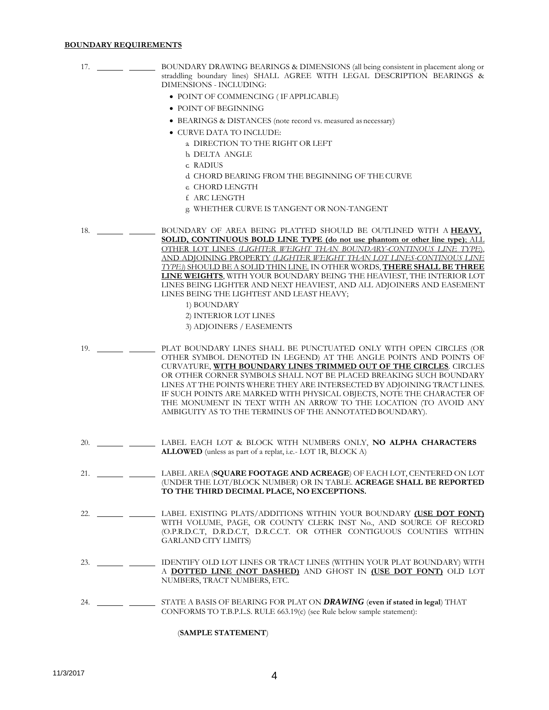### **BOUNDARY REQUIREMENTS**

- 17. BOUNDARY DRAWING BEARINGS & DIMENSIONS (all being consistent in placement along or straddling boundary lines) SHALL AGREE WITH LEGAL DESCRIPTION BEARINGS & DIMENSIONS - INCLUDING:
	- POINT OF COMMENCING (IF APPLICABLE)
	- POINT OF BEGINNING
	- BEARINGS & DISTANCES (note record vs. measured as necessary)
	- $\bullet$  CURVE DATA TO INCLUDE:
		- a. DIRECTION TO THE RIGHT OR LEFT
		- b. DELTA ANGLE
		- c. RADIUS
		- d. CHORD BEARING FROM THE BEGINNING OF THE CURVE
		- e. CHORD LENGTH
		- f. ARC LENGTH
		- g. WHETHER CURVE IS TANGENT OR NON-TANGENT
- 18. BOUNDARY OF AREA BEING PLATTED SHOULD BE OUTLINED WITH A **HEAVY**, **SOLID, CONTINUOUS BOLD LINE TYPE (do not use phantom or other line type)**; ALL OTHER LOT LINES (*LIGHTER WEIGHT THAN BOUNDARY-CONTINOUS LINE TYPE*), AND ADJOINING PROPERTY (*LIGHTER WEIGHT THAN LOT LINES-CONTINOUS LINE TYPE)*) SHOULD BE A SOLID THIN LINE. IN OTHER WORDS, **THERE SHALL BE THREE LINE WEIGHTS**, WITH YOUR BOUNDARY BEING THE HEAVIEST, THE INTERIOR LOT LINES BEING LIGHTER AND NEXT HEAVIEST, AND ALL ADJOINERS AND EASEMENT LINES BEING THE LIGHTEST AND LEAST HEAVY;
	- 1) BOUNDARY
	- 2) INTERIOR LOT LINES
	- 3) ADJOINERS / EASEMENTS
- 19. PLAT BOUNDARY LINES SHALL BE PUNCTUATED ONLY WITH OPEN CIRCLES (OR OTHER SYMBOL DENOTED IN LEGEND) AT THE ANGLE POINTS AND POINTS OF CURVATURE, **WITH BOUNDARY LINES TRIMMED OUT OF THE CIRCLES**. CIRCLES OR OTHER CORNER SYMBOLS SHALL NOT BE PLACED BREAKING SUCH BOUNDARY LINES AT THE POINTS WHERE THEY ARE INTERSECTED BY ADJOINING TRACT LINES. IF SUCH POINTS ARE MARKED WITH PHYSICAL OBJECTS, NOTE THE CHARACTER OF THE MONUMENT IN TEXT WITH AN ARROW TO THE LOCATION (TO AVOID ANY AMBIGUITY AS TO THE TERMINUS OF THE ANNOTATED BOUNDARY).
- 20. LABEL EACH LOT & BLOCK WITH NUMBERS ONLY, **NO ALPHA CHARACTERS ALLOWED** (unless as part of a replat, i.e.- LOT 1R, BLOCK A)
- 21. LABEL AREA (**SQUARE FOOTAGE AND ACREAGE**) OF EACH LOT, CENTERED ON LOT (UNDER THE LOT/BLOCK NUMBER) OR IN TABLE. **ACREAGE SHALL BE REPORTED TO THE THIRD DECIMAL PLACE, NO EXCEPTIONS.**
- 22. LABEL EXISTING PLATS/ADDITIONS WITHIN YOUR BOUNDARY **(USE DOT FONT)** WITH VOLUME, PAGE, OR COUNTY CLERK INST No., AND SOURCE OF RECORD (O.P.R.D.C.T, D.R.D.C.T, D.R.C.C.T. OR OTHER CONTIGUOUS COUNTIES WITHIN GARLAND CITY LIMITS)
- 23. IDENTIFY OLD LOT LINES OR TRACT LINES (WITHIN YOUR PLAT BOUNDARY) WITH A **DOTTED LINE (NOT DASHED)** AND GHOST IN **(USE DOT FONT)** OLD LOT NUMBERS, TRACT NUMBERS, ETC.
- 24. STATE A BASIS OF BEARING FOR PLAT ON *DRAWING* (**even if stated in legal**) THAT CONFORMS TO T.B.P.L.S. RULE 663.19(c) (see Rule below sample statement):

### (**SAMPLE STATEMENT**)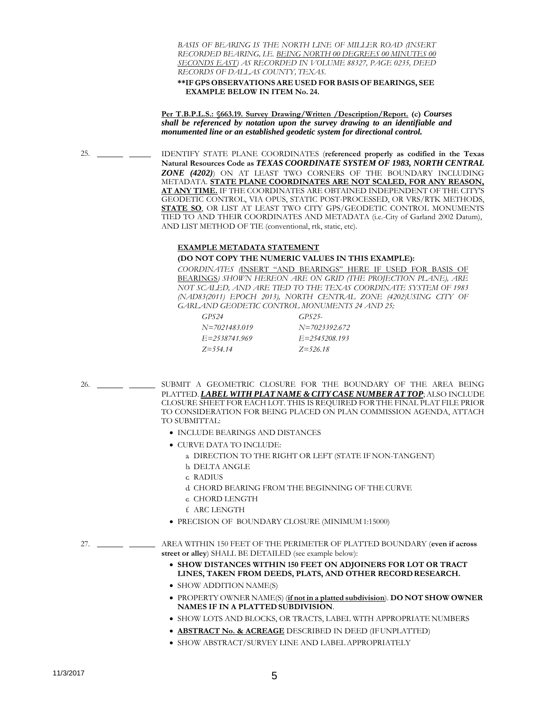*BASIS OF BEARING IS THE NORTH LINE OF MILLER ROAD (INSERT RECORDED BEARING, I.E. BEING NORTH 00 DEGREES 00 MINUTES 00 SECONDS EAST) AS RECORDED IN VOLUME 88327, PAGE 0235, DEED RECORDS OF DALLAS COUNTY, TEXAS.*

**\*\*IF GPS OBSERVATIONS ARE USED FORBASIS OF BEARINGS, SEE EXAMPLE BELOW IN ITEM No. 24.**

**Per T.B.P.L.S.: §663.19. Survey Drawing/Written /Description/Report. (c)** *Courses shall be referenced by notation upon the survey drawing to an identifiable and monumented line or an established geodetic system for directional control.*

25. IDENTIFY STATE PLANE COORDINATES (**referenced properly as codified in the Texas Natural Resources Code as** *TEXAS COORDINATE SYSTEM OF 1983, NORTH CENTRAL ZONE (4202)*) ON AT LEAST TWO CORNERS OF THE BOUNDARY INCLUDING METADATA. **STATE PLANE COORDINATES ARE NOT SCALED, FOR ANY REASON, AT ANY TIME.** IF THE COORDINATES ARE OBTAINED INDEPENDENT OF THE CITY'S GEODETIC CONTROL, VIA OPUS, STATIC POST-PROCESSED, OR VRS/RTK METHODS, **STATE SO**, OR LIST AT LEAST TWO CITY GPS/GEODETIC CONTROL MONUMENTS TIED TO AND THEIR COORDINATES AND METADATA (i.e.-City of Garland 2002 Datum), AND LIST METHOD OF TIE (conventional, rtk, static, etc).

#### **EXAMPLE METADATA STATEMENT**

## **(DO NOT COPY THE NUMERIC VALUES IN THIS EXAMPLE):**

*COORDINATES (*INSERT "AND BEARINGS" HERE IF USED FOR BASIS OF BEARINGS*) SHOWN HEREON ARE ON GRID (THE PROJECTION PLANE), ARE NOT SCALED, AND ARE TIED TO THE TEXAS COORDINATE SYSTEM OF 1983 (NAD83(2011) EPOCH 2013), NORTH CENTRAL ZONE (4202)USING CITY OF GARLAND GEODETIC CONTROL MONUMENTS 24 AND 25;*

| GPS24             | GPS25             |
|-------------------|-------------------|
| $N = 7021483.019$ | $N = 7023392672$  |
| $E = 2538741.969$ | $E = 2545208.193$ |
| $Z = 554.14$      | $Z = 526.18$      |

26. \_\_\_\_\_\_\_\_ SUBMIT A GEOMETRIC CLOSURE FOR THE BOUNDARY OF THE AREA BEING PLATTED. *LABEL WITH PLAT NAME & CITY CASE NUMBER AT TOP*; ALSO INCLUDE CLOSURE SHEET FOR EACH LOT. THIS IS REQUIRED FOR THE FINAL PLAT FILE PRIOR TO CONSIDERATION FOR BEING PLACED ON PLAN COMMISSION AGENDA, ATTACH TO SUBMITTAL:

- **INCLUDE BEARINGS AND DISTANCES**
- $\bullet$  CURVE DATA TO INCLUDE:
	- a. DIRECTION TO THE RIGHT OR LEFT (STATE IF NON-TANGENT)
	- b. DELTA ANGLE
	- c. RADIUS
	- d. CHORD BEARING FROM THE BEGINNING OF THE CURVE
	- e. CHORD LENGTH
	- f. ARC LENGTH
- PRECISION OF BOUNDARY CLOSURE (MINIMUM 1:15000)

### 27. AREA WITHIN 150 FEET OF THE PERIMETER OF PLATTED BOUNDARY (**even if across street or alley**) SHALL BE DETAILED (see example below):

- **SHOW DISTANCES WITHIN 150 FEET ON ADJOINERS FOR LOT OR TRACT LINES, TAKEN FROM DEEDS, PLATS, AND OTHER RECORDRESEARCH.**
- SHOW ADDITION NAME(S)
- PROPERTY OWNER NAME(S) (**if not in a platted subdivision**). **DO NOT SHOW OWNER NAMES IF IN A PLATTED SUBDIVISION**.
- $\bullet$  SHOW LOTS AND BLOCKS, OR TRACTS, LABEL WITH APPROPRIATE NUMBERS
- **ABSTRACT No. & ACREAGE** DESCRIBED IN DEED (IFUNPLATTED)
- SHOW ABSTRACT/SURVEY LINE AND LABEL APPROPRIATELY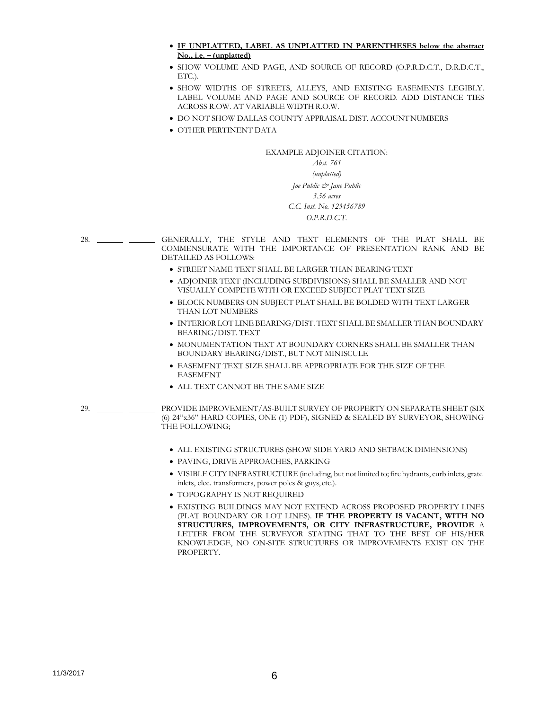- **IF UNPLATTED, LABEL AS UNPLATTED IN PARENTHESES below the abstract No., i.e. – (unplatted)**
- SHOW VOLUME AND PAGE, AND SOURCE OF RECORD (O.P.R.D.C.T., D.R.D.C.T., ETC.).
- SHOW WIDTHS OF STREETS, ALLEYS, AND EXISTING EASEMENTS LEGIBLY. LABEL VOLUME AND PAGE AND SOURCE OF RECORD. ADD DISTANCE TIES ACROSS R.OW. AT VARIABLE WIDTH R.O.W.
- $\bullet$  DO NOT SHOW DALLAS COUNTY APPRAISAL DIST. ACCOUNT NUMBERS
- OTHER PERTINENT DATA

# EXAMPLE ADJOINER CITATION:

# *Abst. 761 (unplatted) Joe Public & Jane Public 3.56 acres C.C. Inst. No. 123456789 O.P.R.D.C.T.*

- 28. GENERALLY, THE STYLE AND TEXT ELEMENTS OF THE PLAT SHALL BE COMMENSURATE WITH THE IMPORTANCE OF PRESENTATION RANK AND BE DETAILED AS FOLLOWS:
	- STREET NAME TEXT SHALL BE LARGER THAN BEARING TEXT
	- ADJOINER TEXT (INCLUDING SUBDIVISIONS) SHALL BE SMALLER AND NOT VISUALLY COMPETE WITH OR EXCEED SUBJECT PLAT TEXT SIZE
	- BLOCK NUMBERS ON SUBJECT PLAT SHALL BE BOLDED WITH TEXT LARGER THAN LOT NUMBERS
	- INTERIOR LOT LINE BEARING/DIST. TEXT SHALL BE SMALLER THAN BOUNDARY BEARING/DIST. TEXT
	- $\bullet$  MONUMENTATION TEXT AT BOUNDARY CORNERS SHALL BE SMALLER THAN BOUNDARY BEARING/DIST., BUT NOT MINISCULE
	- EASEMENT TEXT SIZE SHALL BE APPROPRIATE FOR THE SIZE OF THE EASEMENT
	- ALL TEXT CANNOT BE THE SAME SIZE

29. PROVIDE IMPROVEMENT/AS-BUILT SURVEY OF PROPERTY ON SEPARATE SHEET (SIX (6) 24"x36" HARD COPIES, ONE (1) PDF), SIGNED & SEALED BY SURVEYOR, SHOWING THE FOLLOWING;

- ALL EXISTING STRUCTURES (SHOW SIDE YARD AND SETBACK DIMENSIONS)
- PAVING, DRIVE APPROACHES, PARKING
- VISIBLE CITY INFRASTRUCTURE (including, but not limited to; fire hydrants, curb inlets, grate inlets, elec. transformers, power poles & guys, etc.).
- TOPOGRAPHY IS NOT REQUIRED
- EXISTING BUILDINGS MAY NOT EXTEND ACROSS PROPOSED PROPERTY LINES (PLAT BOUNDARY OR LOT LINES). **IF THE PROPERTY IS VACANT, WITH NO STRUCTURES, IMPROVEMENTS, OR CITY INFRASTRUCTURE, PROVIDE** A LETTER FROM THE SURVEYOR STATING THAT TO THE BEST OF HIS/HER KNOWLEDGE, NO ON-SITE STRUCTURES OR IMPROVEMENTS EXIST ON THE PROPERTY.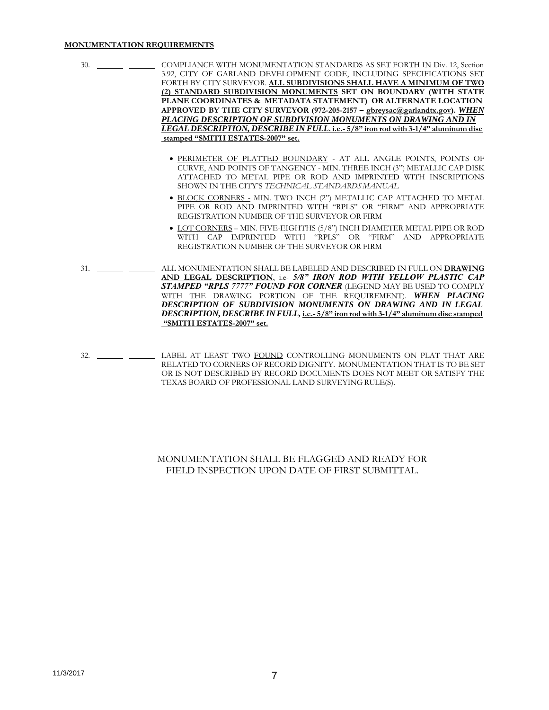### **MONUMENTATION REQUIREMENTS**

- 30. COMPLIANCE WITH MONUMENTATION STANDARDS AS SET FORTH IN Div. 12, Section 3.92, CITY OF GARLAND DEVELOPMENT CODE, INCLUDING SPECIFICATIONS SET FORTH BY CITY SURVEYOR. **ALL SUBDIVISIONS SHALL HAVE A MINIMUM OF TWO (2) STANDARD SUBDIVISION MONUMENTS SET ON BOUNDARY (WITH STATE PLANE COORDINATES & METADATA STATEMENT) OR ALTERNATE LOCATION APPROVED BY THE CITY SURVEYOR (972-205-2157 – [gbreysac@garlandtx.gov\)](mailto:gbreysac@garlandtx.gov).** *WHEN PLACING DESCRIPTION OF SUBDIVISION MONUMENTS ON DRAWING AND IN LEGAL DESCRIPTION, DESCRIBE IN FULL***. i.e.- 5/8" iron rod with 3-1/4" aluminum disc stamped "SMITH ESTATES-2007" set.** PERIMETER OF PLATTED BOUNDARY - AT ALL ANGLE POINTS, POINTS OF CURVE, AND POINTS OF TANGENCY - MIN. THREE INCH (3") METALLIC CAP DISK ATTACHED TO METAL PIPE OR ROD AND IMPRINTED WITH INSCRIPTIONS SHOWN IN THE CITY'S *TECHNICAL STANDARDS MANUAL* BLOCK CORNERS - MIN. TWO INCH (2") METALLIC CAP ATTACHED TO METAL PIPE OR ROD AND IMPRINTED WITH "RPLS" OR "FIRM" AND APPROPRIATE REGISTRATION NUMBER OF THE SURVEYOR OR FIRM LOT CORNERS – MIN. FIVE-EIGHTHS (5/8") INCH DIAMETER METAL PIPE OR ROD WITH CAP IMPRINTED WITH "RPLS" OR "FIRM" AND APPROPRIATE REGISTRATION NUMBER OF THE SURVEYOR OR FIRM
- 31. ALL MONUMENTATION SHALL BE LABELED AND DESCRIBED IN FULL ON **DRAWING** AND LEGAL DESCRIPTION, i.e- 5/8" IRON ROD WITH YELLOW PLASTIC CAP *STAMPED "RPLS 7777" FOUND FOR CORNER* (LEGEND MAY BE USED TO COMPLY WITH THE DRAWING PORTION OF THE REQUIREMENT). *WHEN PLACING DESCRIPTION OF SUBDIVISION MONUMENTS ON DRAWING AND IN LEGAL DESCRIPTION, DESCRIBEIN FULL,* **i.e.- 5/8" iron rod with 3-1/4" aluminum disc stamped "SMITH ESTATES-2007" set.**
- 32. LABEL AT LEAST TWO FOUND CONTROLLING MONUMENTS ON PLAT THAT ARE RELATED TO CORNERS OF RECORD DIGNITY. MONUMENTATION THAT IS TO BE SET OR IS NOT DESCRIBED BY RECORD DOCUMENTS DOES NOT MEET OR SATISFY THE TEXAS BOARD OF PROFESSIONAL LAND SURVEYING RULE(S).

# MONUMENTATION SHALL BE FLAGGED AND READY FOR FIELD INSPECTION UPON DATE OF FIRST SUBMITTAL.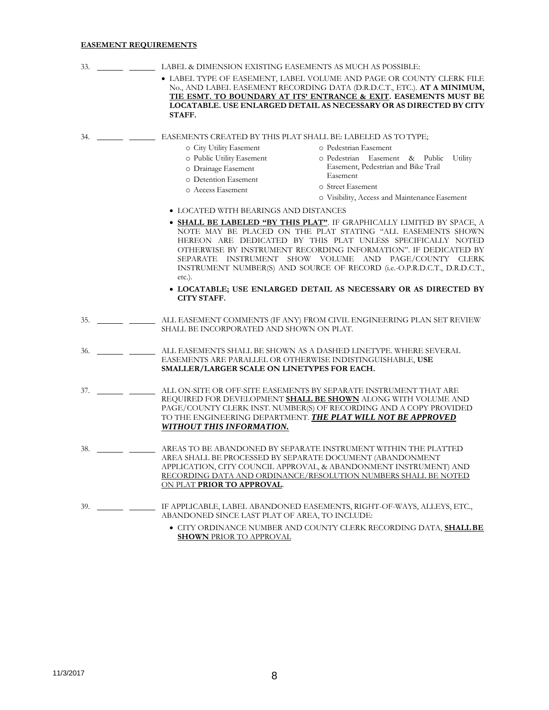# **EASEMENT REQUIREMENTS**

| 33. | LABEL & DIMENSION EXISTING EASEMENTS AS MUCH AS POSSIBLE:                                                                                                                                                                                                                                                                                                                                                                         |
|-----|-----------------------------------------------------------------------------------------------------------------------------------------------------------------------------------------------------------------------------------------------------------------------------------------------------------------------------------------------------------------------------------------------------------------------------------|
|     | • LABEL TYPE OF EASEMENT, LABEL VOLUME AND PAGE OR COUNTY CLERK FILE<br>No., AND LABEL EASEMENT RECORDING DATA (D.R.D.C.T., ETC.). AT A MINIMUM,<br>TIE ESMT. TO BOUNDARY AT ITS' ENTRANCE & EXIT. EASEMENTS MUST BE<br>LOCATABLE. USE ENLARGED DETAIL AS NECESSARY OR AS DIRECTED BY CITY<br>STAFF.                                                                                                                              |
| 34. | EASEMENTS CREATED BY THIS PLAT SHALL BE: LABELED AS TO TYPE;<br>o Pedestrian Easement<br>o City Utility Easement<br>o Public Utility Easement<br>o Pedestrian Easement & Public<br>Utility                                                                                                                                                                                                                                        |
|     | Easement, Pedestrian and Bike Trail<br>o Drainage Easement<br>Easement<br>o Detention Easement<br>o Street Easement<br>o Access Easement                                                                                                                                                                                                                                                                                          |
|     | o Visibility, Access and Maintenance Easement                                                                                                                                                                                                                                                                                                                                                                                     |
|     | • LOCATED WITH BEARINGS AND DISTANCES                                                                                                                                                                                                                                                                                                                                                                                             |
|     | • <b>SHALL BE LABELED "BY THIS PLAT"</b> . IF GRAPHICALLY LIMITED BY SPACE, A<br>NOTE MAY BE PLACED ON THE PLAT STATING "ALL EASEMENTS SHOWN<br>HEREON ARE DEDICATED BY THIS PLAT UNLESS SPECIFICALLY NOTED<br>OTHERWISE BY INSTRUMENT RECORDING INFORMATION". IF DEDICATED BY<br>SEPARATE INSTRUMENT SHOW VOLUME AND PAGE/COUNTY CLERK<br>INSTRUMENT NUMBER(S) AND SOURCE OF RECORD (i.e.-O.P.R.D.C.T., D.R.D.C.T.,<br>$etc.$ ). |
|     | • LOCATABLE; USE ENLARGED DETAIL AS NECESSARY OR AS DIRECTED BY<br><b>CITY STAFF.</b>                                                                                                                                                                                                                                                                                                                                             |
| 35. | ALL EASEMENT COMMENTS (IF ANY) FROM CIVIL ENGINEERING PLAN SET REVIEW<br>SHALL BE INCORPORATED AND SHOWN ON PLAT.                                                                                                                                                                                                                                                                                                                 |
| 36. | ALL EASEMENTS SHALL BE SHOWN AS A DASHED LINETYPE. WHERE SEVERAL<br>EASEMENTS ARE PARALLEL OR OTHERWISE INDISTINGUISHABLE, USE<br>SMALLER/LARGER SCALE ON LINETYPES FOR EACH.                                                                                                                                                                                                                                                     |
| 37. | ALL ON-SITE OR OFF-SITE EASEMENTS BY SEPARATE INSTRUMENT THAT ARE<br>REQUIRED FOR DEVELOPMENT SHALL BE SHOWN ALONG WITH VOLUME AND<br>PAGE/COUNTY CLERK INST. NUMBER(S) OF RECORDING AND A COPY PROVIDED<br>TO THE ENGINEERING DEPARTMENT. THE PLAT WILL NOT BE APPROVED<br>WITHOUT THIS INFORMATION.                                                                                                                             |
| 38. | AREAS TO BE ABANDONED BY SEPARATE INSTRUMENT WITHIN THE PLATTED<br>AREA SHALL BE PROCESSED BY SEPARATE DOCUMENT (ABANDONMENT<br>APPLICATION, CITY COUNCIL APPROVAL, & ABANDONMENT INSTRUMENT) AND<br>RECORDING DATA AND ORDINANCE/RESOLUTION NUMBERS SHALL BE NOTED<br>ON PLAT PRIOR TO APPROVAL.                                                                                                                                 |
| 39. | IF APPLICABLE, LABEL ABANDONED EASEMENTS, RIGHT-OF-WAYS, ALLEYS, ETC.,<br>ABANDONED SINCE LAST PLAT OF AREA, TO INCLUDE:                                                                                                                                                                                                                                                                                                          |
|     | • CITY ORDINANCE NUMBER AND COUNTY CLERK RECORDING DATA, SHALL BE<br><b>SHOWN PRIOR TO APPROVAL</b>                                                                                                                                                                                                                                                                                                                               |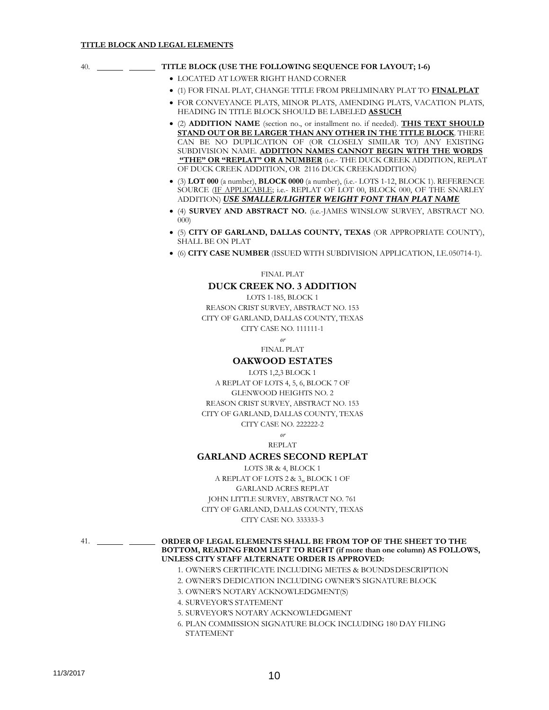| TITLE BLOCK (USE THE FOLLOWING SEQUENCE FOR LAYOUT; 1-6)<br>40. |  |
|-----------------------------------------------------------------|--|
|-----------------------------------------------------------------|--|

- LOCATED AT LOWER RIGHT HAND CORNER
- (1) FOR FINAL PLAT, CHANGE TITLE FROM PRELIMINARY PLAT TO **FINALPLAT**
- FOR CONVEYANCE PLATS, MINOR PLATS, AMENDING PLATS, VACATION PLATS, HEADING IN TITLE BLOCK SHOULD BE LABELED **AS SUCH**
- (2) **ADDITION NAME** (section no., or installment no. if needed). **THIS TEXT SHOULD STAND OUT OR BE LARGER THAN ANY OTHER IN THE TITLE BLOCK**. THERE CAN BE NO DUPLICATION OF (OR CLOSELY SIMILAR TO) ANY EXISTING SUBDIVISION NAME. **ADDITION NAMES CANNOT BEGIN WITH THE WORDS "THE" OR "REPLAT" OR A NUMBER** (i.e.- THE DUCK CREEK ADDITION, REPLAT OF DUCK CREEK ADDITION, OR 2116 DUCK CREEKADDITION)
- (3) **LOT 000** (a number), **BLOCK 0000** (a number), (i.e.- LOTS 1-12, BLOCK 1). REFERENCE SOURCE (IF APPLICABLE; i.e.- REPLAT OF LOT 00, BLOCK 000, OF THE SNARLEY ADDITION) *USE SMALLER/LIGHTER WEIGHT FONT THAN PLAT NAME*
- (4) **SURVEY AND ABSTRACT NO.** (i.e.-JAMES WINSLOW SURVEY, ABSTRACT NO. 000)
- (5) **CITY OF GARLAND, DALLAS COUNTY, TEXAS** (OR APPROPRIATE COUNTY), SHALL BE ON PLAT
- (6) **CITY CASE NUMBER** (ISSUED WITH SUBDIVISION APPLICATION, I.E.050714-1).

FINAL PLAT

# **DUCK CREEK NO. 3 ADDITION**

LOTS 1-185, BLOCK 1 REASON CRIST SURVEY, ABSTRACT NO. 153 CITY OF GARLAND, DALLAS COUNTY, TEXAS CITY CASE NO. 111111-1

> *or* FINAL PLAT

### **OAKWOOD ESTATES**

LOTS 1,2,3 BLOCK 1 A REPLAT OF LOTS 4, 5, 6, BLOCK 7 OF GLENWOOD HEIGHTS NO. 2 REASON CRIST SURVEY, ABSTRACT NO. 153 CITY OF GARLAND, DALLAS COUNTY, TEXAS CITY CASE NO. 222222-2

> *or* REPLAT

## **GARLAND ACRES SECOND REPLAT**

LOTS 3R & 4, BLOCK 1 A REPLAT OF LOTS 2 & 3,, BLOCK 1 OF GARLAND ACRES REPLAT JOHN LITTLE SURVEY, ABSTRACT NO. 761 CITY OF GARLAND, DALLAS COUNTY, TEXAS CITY CASE NO. 333333-3

41. **ORDER OF LEGAL ELEMENTS SHALL BE FROM TOP OF THE SHEET TO THE BOTTOM, READING FROM LEFT TO RIGHT (if more than one column) AS FOLLOWS, UNLESS CITY STAFF ALTERNATE ORDER IS APPROVED:**

- 1. OWNER'S CERTIFICATE INCLUDING METES & BOUNDSDESCRIPTION
- 2. OWNER'S DEDICATION INCLUDING OWNER'S SIGNATURE BLOCK
- 3. OWNER'S NOTARY ACKNOWLEDGMENT(S)
- 4. SURVEYOR'S STATEMENT
- 5. SURVEYOR'S NOTARY ACKNOWLEDGMENT
- 6. PLAN COMMISSION SIGNATURE BLOCK INCLUDING 180 DAY FILING **STATEMENT**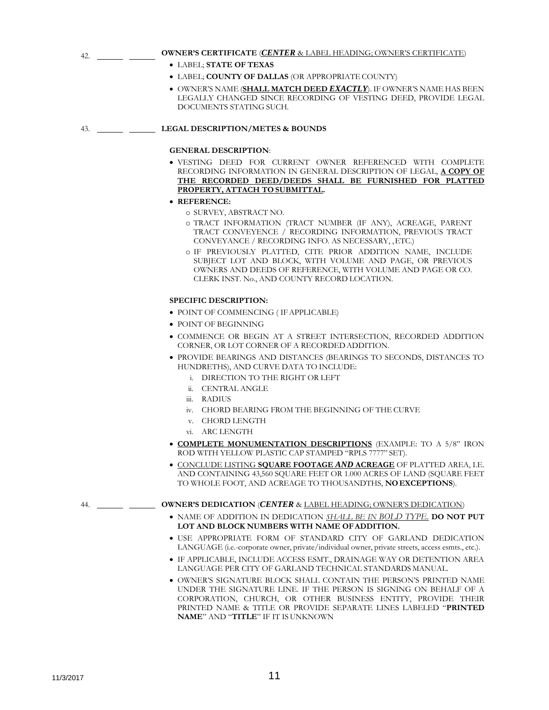| 42. | <b>OWNER'S CERTIFICATE (CENTER &amp; LABEL HEADING; OWNER'S CERTIFICATE)</b>                                                                                     |
|-----|------------------------------------------------------------------------------------------------------------------------------------------------------------------|
|     | • LABEL; STATE OF TEXAS                                                                                                                                          |
|     | • LABEL; COUNTY OF DALLAS (OR APPROPRIATE COUNTY)                                                                                                                |
|     | • OWNER'S NAME (SHALL MATCH DEED EXACTLY). IF OWNER'S NAME HAS BEEN<br>LEGALLY CHANGED SINCE RECORDING OF VESTING DEED, PROVIDE LEGAL<br>DOCUMENTS STATING SUCH. |
| 43. | <b>LEGAL DESCRIPTION/METES &amp; BOUNDS</b>                                                                                                                      |
|     | <b>GENERAL DESCRIPTION:</b>                                                                                                                                      |
|     | DEED FOR CURRENT OWNER REFERENCED WITH COMPLETE<br>$\bullet$ vesting                                                                                             |

- RECORDING INFORMATION IN GENERAL DESCRIPTION OF LEGAL, **A COPY OF THE RECORDED DEED/DEEDS SHALL BE FURNISHED FOR PLATTED PROPERTY, ATTACH TO SUBMITTAL.**
- **REFERENCE:**
	- o SURVEY, ABSTRACT NO.
	- o TRACT INFORMATION (TRACT NUMBER (IF ANY), ACREAGE, PARENT TRACT CONVEYENCE / RECORDING INFORMATION, PREVIOUS TRACT CONVEYANCE / RECORDING INFO. AS NECESSARY, ,ETC.)
	- o IF PREVIOUSLY PLATTED, CITE PRIOR ADDITION NAME, INCLUDE SUBJECT LOT AND BLOCK, WITH VOLUME AND PAGE, OR PREVIOUS OWNERS AND DEEDS OF REFERENCE, WITH VOLUME AND PAGE OR CO. CLERK INST. No., AND COUNTY RECORD LOCATION.

### **SPECIFIC DESCRIPTION:**

- POINT OF COMMENCING ( IFAPPLICABLE)
- POINT OF BEGINNING
- COMMENCE OR BEGIN AT A STREET INTERSECTION, RECORDED ADDITION CORNER, OR LOT CORNER OF A RECORDEDADDITION.
- PROVIDE BEARINGS AND DISTANCES (BEARINGS TO SECONDS, DISTANCES TO HUNDRETHS), AND CURVE DATA TO INCLUDE:
	- i. DIRECTION TO THE RIGHT OR LEFT
	- ii. CENTRAL ANGLE
	- iii. RADIUS
	- iv. CHORD BEARING FROM THE BEGINNING OF THE CURVE
	- v. CHORD LENGTH
	- vi. ARC LENGTH
- **COMPLETE MONUMENTATION DESCRIPTIONS** (EXAMPLE: TO A 5/8" IRON ROD WITH YELLOW PLASTIC CAP STAMPED "RPLS 7777" SET).
- CONCLUDE LISTING **SQUARE FOOTAGE** *AND* **ACREAGE** OF PLATTED AREA, I.E. AND CONTAINING 43,560 SQUARE FEET OR 1.000 ACRES OF LAND (SQUARE FEET TO WHOLE FOOT, AND ACREAGE TO THOUSANDTHS, **NOEXCEPTIONS**).

### 44. **OWNER'S DEDICATION** (*CENTER* & LABEL HEADING; OWNER'S DEDICATION)

- NAME OF ADDITION IN DEDICATION *SHALL BE IN BOLD TYPE*. **DO NOT PUT LOT AND BLOCK NUMBERS WITH NAME OFADDITION.**
- USE APPROPRIATE FORM OF STANDARD CITY OF GARLAND DEDICATION LANGUAGE (i.e.-corporate owner, private/individual owner, private streets, access esmts., etc.).
- IF APPLICABLE, INCLUDE ACCESS ESMT., DRAINAGE WAY OR DETENTION AREA LANGUAGE PER CITY OF GARLAND TECHNICAL STANDARDS MANUAL.
- OWNER'S SIGNATURE BLOCK SHALL CONTAIN THE PERSON'S PRINTED NAME UNDER THE SIGNATURE LINE. IF THE PERSON IS SIGNING ON BEHALF OF A CORPORATION, CHURCH, OR OTHER BUSINESS ENTITY, PROVIDE THEIR PRINTED NAME & TITLE OR PROVIDE SEPARATE LINES LABELED "**PRINTED NAME**" AND "**TITLE**" IF IT IS UNKNOWN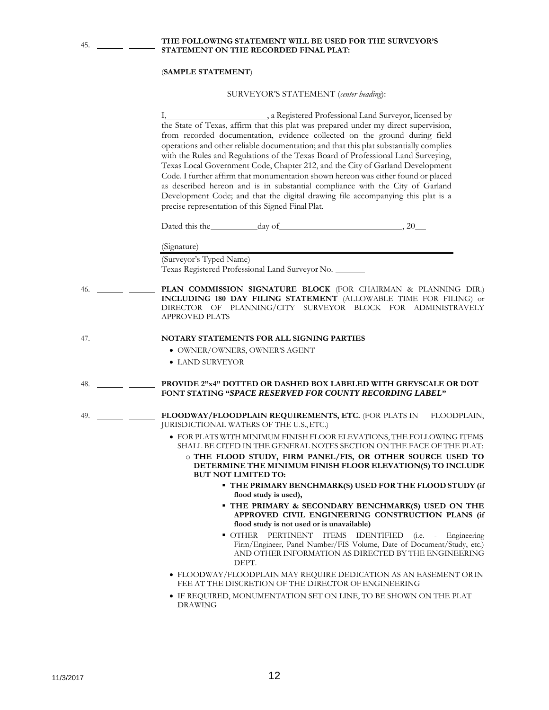**THE FOLLOWING STATEMENT WILL BE USED FOR THE SURVEYOR'S STATEMENT ON THE RECORDED FINAL PLAT:**

#### (**SAMPLE STATEMENT**)

45.

#### SURVEYOR'S STATEMENT (*center heading*):

I,  $\overline{I}$  , a Registered Professional Land Surveyor, licensed by the State of Texas, affirm that this plat was prepared under my direct supervision, from recorded documentation, evidence collected on the ground during field operations and other reliable documentation; and that this plat substantially complies with the Rules and Regulations of the Texas Board of Professional Land Surveying, Texas Local Government Code, Chapter 212, and the City of Garland Development Code. I further affirm that monumentation shown hereon was either found or placed as described hereon and is in substantial compliance with the City of Garland Development Code; and that the digital drawing file accompanying this plat is a precise representation of this Signed Final Plat. Dated this the  $\frac{day \text{ of } }{y}$ , 20 (Signature) (Surveyor's Typed Name) Texas Registered Professional Land Surveyor No. 46. **PLAN COMMISSION SIGNATURE BLOCK** (FOR CHAIRMAN & PLANNING DIR.) **INCLUDING 180 DAY FILING STATEMENT** (ALLOWABLE TIME FOR FILING) or DIRECTOR OF PLANNING/CITY SURVEYOR BLOCK FOR ADMINISTRAVELY APPROVED PLATS 47. **NOTARY STATEMENTS FOR ALL SIGNING PARTIES** OWNER/OWNERS, OWNER'S AGENT LAND SURVEYOR 48. **PROVIDE 2"x4" DOTTED OR DASHED BOX LABELED WITH GREYSCALE OR DOT FONT STATING "***SPACE RESERVED FOR COUNTY RECORDING LABEL***"** 49. **IELOODWAY/FLOODPLAIN REQUIREMENTS, ETC.** (FOR PLATS IN FLOODPLAIN, JURISDICTIONAL WATERS OF THE U.S.,ETC.) FOR PLATS WITH MINIMUM FINISH FLOOR ELEVATIONS, THE FOLLOWING ITEMS SHALL BE CITED IN THE GENERAL NOTES SECTION ON THE FACE OF THE PLAT: o **THE FLOOD STUDY, FIRM PANEL/FIS, OR OTHER SOURCE USED TO DETERMINE THE MINIMUM FINISH FLOOR ELEVATION(S) TO INCLUDE BUT NOT LIMITED TO:**

- **THE PRIMARY BENCHMARK(S) USED FOR THE FLOOD STUDY (if flood study is used),**
- **THE PRIMARY & SECONDARY BENCHMARK(S) USED ON THE APPROVED CIVIL ENGINEERING CONSTRUCTION PLANS (if flood study is not used or is unavailable)**
- OTHER PERTINENT ITEMS IDENTIFIED (i.e. Engineering Firm/Engineer, Panel Number/FIS Volume, Date of Document/Study, etc.) AND OTHER INFORMATION AS DIRECTED BY THE ENGINEERING DEPT.
- FLOODWAY/FLOODPLAIN MAY REQUIRE DEDICATION AS AN EASEMENT ORIN FEE AT THE DISCRETION OF THE DIRECTOR OF ENGINEERING
- IF REQUIRED, MONUMENTATION SET ON LINE, TO BE SHOWN ON THE PLAT DRAWING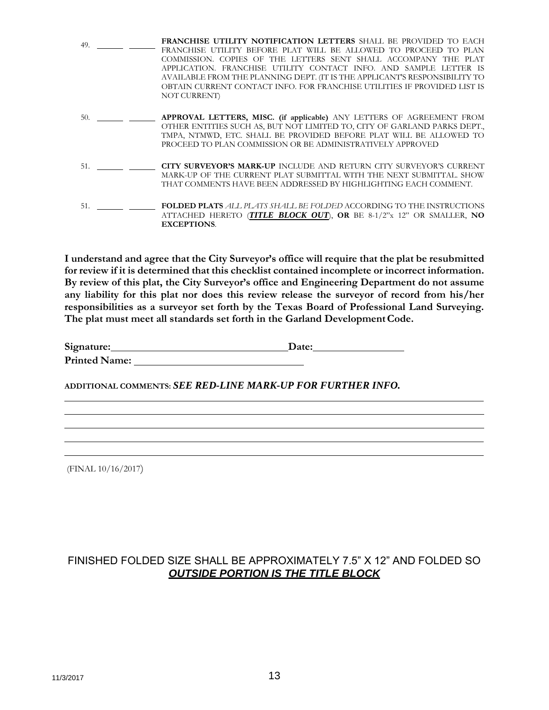| 49. |     | <b>FRANCHISE UTILITY NOTIFICATION LETTERS</b> SHALL BE PROVIDED TO EACH     |
|-----|-----|-----------------------------------------------------------------------------|
|     |     | FRANCHISE UTILITY BEFORE PLAT WILL BE ALLOWED TO PROCEED TO PLAN            |
|     |     | COMMISSION. COPIES OF THE LETTERS SENT SHALL ACCOMPANY THE PLAT             |
|     |     | APPLICATION. FRANCHISE UTILITY CONTACT INFO. AND SAMPLE LETTER IS           |
|     |     | AVAILABLE FROM THE PLANNING DEPT. (IT IS THE APPLICANT'S RESPONSIBILITY TO  |
|     |     | OBTAIN CURRENT CONTACT INFO. FOR FRANCHISE UTILITIES IF PROVIDED LIST IS    |
|     |     | NOT CURRENT)                                                                |
|     |     |                                                                             |
| 50. |     | APPROVAL LETTERS, MISC. (if applicable) ANY LETTERS OF AGREEMENT FROM       |
|     |     | OTHER ENTITIES SUCH AS, BUT NOT LIMITED TO, CITY OF GARLAND PARKS DEPT.,    |
|     |     | TMPA, NTMWD, ETC. SHALL BE PROVIDED BEFORE PLAT WILL BE ALLOWED TO          |
|     |     | PROCEED TO PLAN COMMISSION OR BE ADMINISTRATIVELY APPROVED                  |
|     |     |                                                                             |
|     |     |                                                                             |
|     | 51. | <b>CITY SURVEYOR'S MARK-UP INCLUDE AND RETURN CITY SURVEYOR'S CURRENT</b>   |
|     |     | MARK-UP OF THE CURRENT PLAT SUBMITTAL WITH THE NEXT SUBMITTAL. SHOW         |
|     |     | THAT COMMENTS HAVE BEEN ADDRESSED BY HIGHLIGHTING EACH COMMENT.             |
|     |     |                                                                             |
| 51. |     | <b>FOLDED PLATS ALL PLATS SHALL BE FOLDED ACCORDING TO THE INSTRUCTIONS</b> |
|     |     | ATTACHED HERETO (TITLE BLOCK OUT), OR BE 8-1/2"x 12" OR SMALLER, NO         |
|     |     | <b>EXCEPTIONS.</b>                                                          |
|     |     |                                                                             |

**I understand and agree that the City Surveyor's office will require that the plat be resubmitted for review if it is determined that this checklist contained incomplete or incorrect information. By review of this plat, the City Surveyor's office and Engineering Department do not assume any liability for this plat nor does this review release the surveyor of record from his/her responsibilities as a surveyor set forth by the Texas Board of Professional Land Surveying. The plat must meet all standards set forth in the Garland DevelopmentCode.**

**Signature: Date: Printed Name:** 

**ADDITIONAL COMMENTS:** *SEE RED-LINE MARK-UP FOR FURTHER INFO.*

(FINAL 10/16/2017)

# FINISHED FOLDED SIZE SHALL BE APPROXIMATELY 7.5" X 12" AND FOLDED SO *OUTSIDE PORTION IS THE TITLE BLOCK*